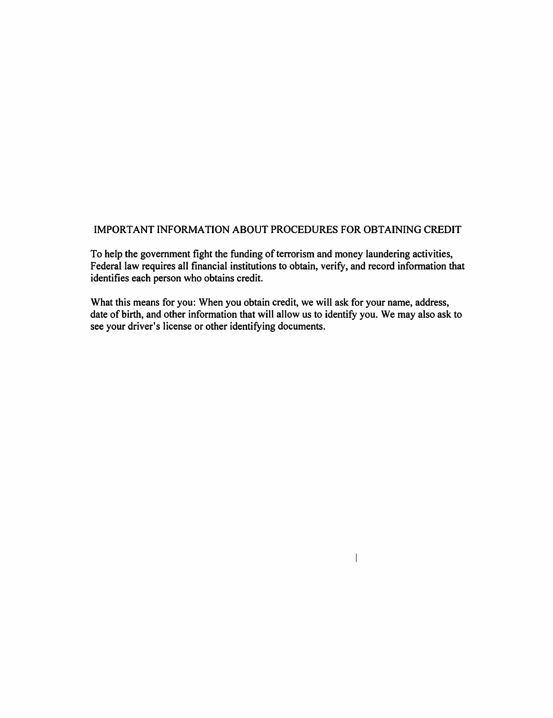## IMPORTANT INFORMATION ABOUT PROCEDURES FOR OBTAINING CREDIT

To help the government fight the funding of terrorism and money laundering activities, Federal law requires all financial institutions to obtain, verify, and record information that identifies each person who obtains credit.

What this means for you: When you obtain credit, we will ask for your name, address, date of birth, and other information that will allow us to identify you. We may also ask to see your driver's license or other identifying documents.

 $\overline{1}$